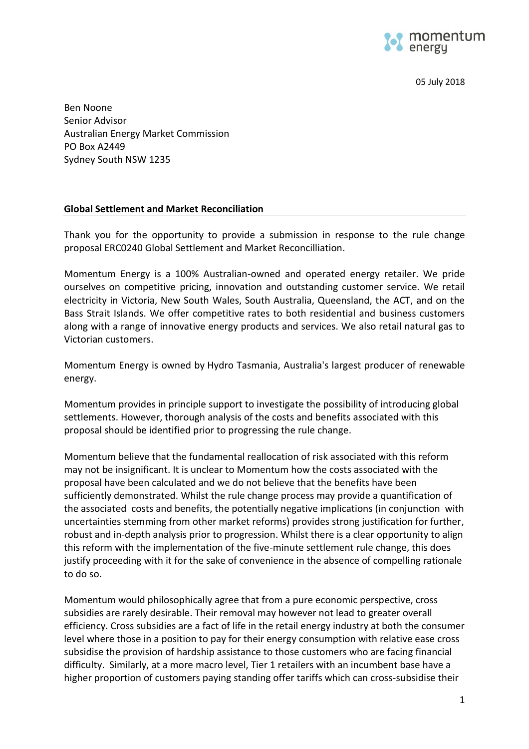

05 July 2018

Ben Noone Senior Advisor Australian Energy Market Commission PO Box A2449 Sydney South NSW 1235

## **Global Settlement and Market Reconciliation**

Thank you for the opportunity to provide a submission in response to the rule change proposal ERC0240 Global Settlement and Market Reconcilliation.

Momentum Energy is a 100% Australian-owned and operated energy retailer. We pride ourselves on competitive pricing, innovation and outstanding customer service. We retail electricity in Victoria, New South Wales, South Australia, Queensland, the ACT, and on the Bass Strait Islands. We offer competitive rates to both residential and business customers along with a range of innovative energy products and services. We also retail natural gas to Victorian customers.

Momentum Energy is owned by [Hydro Tasmania,](http://www.momentumenergy.com.au/about-us/hydro-tasmania-group) Australia's largest producer of renewable energy.

Momentum provides in principle support to investigate the possibility of introducing global settlements. However, thorough analysis of the costs and benefits associated with this proposal should be identified prior to progressing the rule change.

Momentum believe that the fundamental reallocation of risk associated with this reform may not be insignificant. It is unclear to Momentum how the costs associated with the proposal have been calculated and we do not believe that the benefits have been sufficiently demonstrated. Whilst the rule change process may provide a quantification of the associated costs and benefits, the potentially negative implications (in conjunction with uncertainties stemming from other market reforms) provides strong justification for further, robust and in-depth analysis prior to progression. Whilst there is a clear opportunity to align this reform with the implementation of the five-minute settlement rule change, this does justify proceeding with it for the sake of convenience in the absence of compelling rationale to do so.

Momentum would philosophically agree that from a pure economic perspective, cross subsidies are rarely desirable. Their removal may however not lead to greater overall efficiency. Cross subsidies are a fact of life in the retail energy industry at both the consumer level where those in a position to pay for their energy consumption with relative ease cross subsidise the provision of hardship assistance to those customers who are facing financial difficulty. Similarly, at a more macro level, Tier 1 retailers with an incumbent base have a higher proportion of customers paying standing offer tariffs which can cross-subsidise their